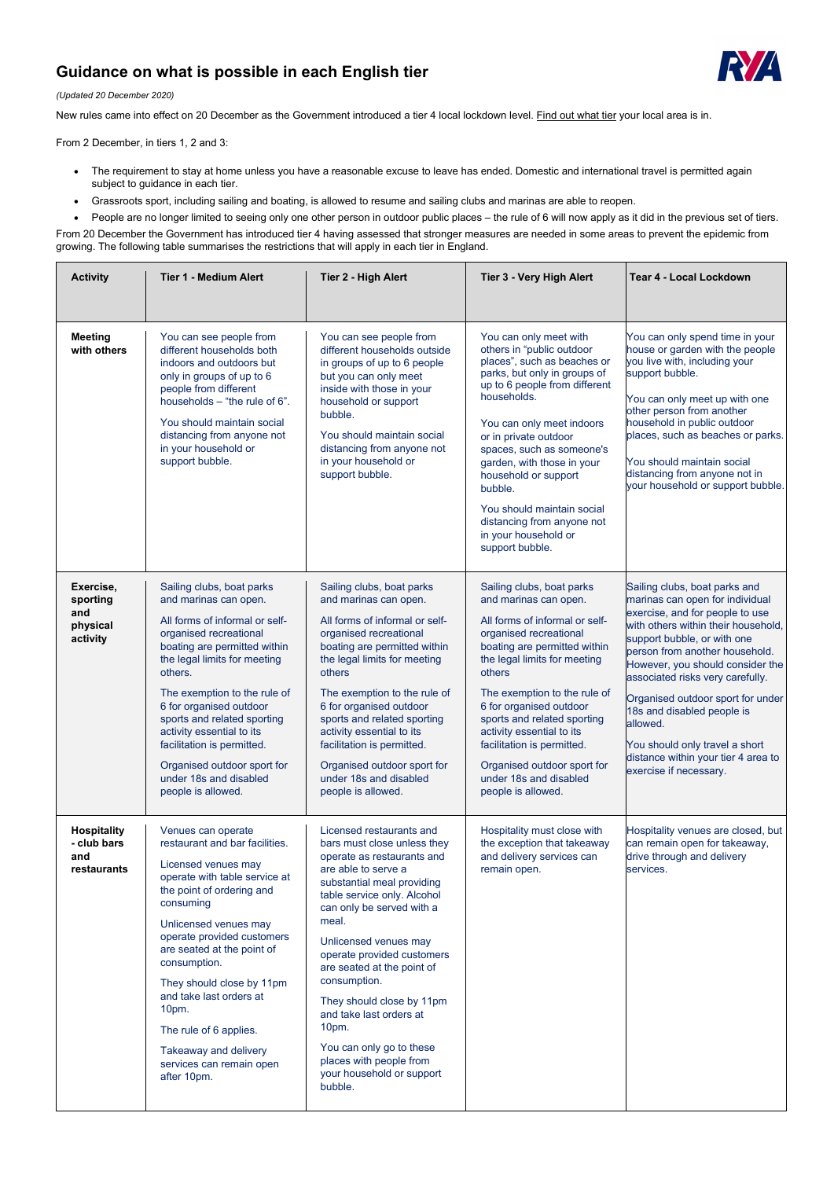## **Guidance on what is possible in each English tier**



## *(Updated 20 December 2020)*

New rules came into effect on 20 December as the Government introduced a tier 4 local lockdown level. [Find out what tier](https://www.gov.uk/guidance/full-list-of-local-restriction-tiers-by-area) your local area is in.

From 2 December, in tiers 1, 2 and 3:

- The requirement to stay at home unless you have a reasonable excuse to leave has ended. Domestic and international travel is permitted again subject to guidance in each tier.
- Grassroots sport, including sailing and boating, is allowed to resume and sailing clubs and marinas are able to reopen.
- People are no longer limited to seeing only one other person in outdoor public places the rule of 6 will now apply as it did in the previous set of tiers.

From 20 December the Government has introduced tier 4 having assessed that stronger measures are needed in some areas to prevent the epidemic from growing. The following table summarises the restrictions that will apply in each tier in England.

| <b>Activity</b>                                         | <b>Tier 1 - Medium Alert</b>                                                                                                                                                                                                                                                                                                                                                                                                  | <b>Tier 2 - High Alert</b>                                                                                                                                                                                                                                                                                                                                                                                                   | <b>Tier 3 - Very High Alert</b>                                                                                                                                                                                                                                                                                                                                                                                               | <b>Tear 4 - Local Lockdown</b>                                                                                                                                                                                                                                                                                                                                                                                                                                        |
|---------------------------------------------------------|-------------------------------------------------------------------------------------------------------------------------------------------------------------------------------------------------------------------------------------------------------------------------------------------------------------------------------------------------------------------------------------------------------------------------------|------------------------------------------------------------------------------------------------------------------------------------------------------------------------------------------------------------------------------------------------------------------------------------------------------------------------------------------------------------------------------------------------------------------------------|-------------------------------------------------------------------------------------------------------------------------------------------------------------------------------------------------------------------------------------------------------------------------------------------------------------------------------------------------------------------------------------------------------------------------------|-----------------------------------------------------------------------------------------------------------------------------------------------------------------------------------------------------------------------------------------------------------------------------------------------------------------------------------------------------------------------------------------------------------------------------------------------------------------------|
| <b>Meeting</b><br>with others                           | You can see people from<br>different households both<br>indoors and outdoors but<br>only in groups of up to 6<br>people from different<br>households - "the rule of 6".<br>You should maintain social<br>distancing from anyone not<br>in your household or<br>support bubble.                                                                                                                                                | You can see people from<br>different households outside<br>in groups of up to 6 people<br>but you can only meet<br>inside with those in your<br>household or support<br>bubble.<br>You should maintain social<br>distancing from anyone not<br>in your household or<br>support bubble.                                                                                                                                       | You can only meet with<br>others in "public outdoor<br>places", such as beaches or<br>parks, but only in groups of<br>up to 6 people from different<br>households.<br>You can only meet indoors<br>or in private outdoor<br>spaces, such as someone's<br>garden, with those in your<br>household or support<br>bubble.<br>You should maintain social<br>distancing from anyone not<br>in your household or<br>support bubble. | You can only spend time in your<br>house or garden with the people<br>you live with, including your<br>support bubble.<br>You can only meet up with one<br>other person from another<br>household in public outdoor<br>places, such as beaches or parks.<br>You should maintain social<br>distancing from anyone not in<br>your household or support bubble.                                                                                                          |
| Exercise,<br>sporting<br>and<br>physical<br>activity    | Sailing clubs, boat parks<br>and marinas can open.<br>All forms of informal or self-<br>organised recreational<br>boating are permitted within<br>the legal limits for meeting<br>others.<br>The exemption to the rule of<br>6 for organised outdoor<br>sports and related sporting<br>activity essential to its<br>facilitation is permitted.<br>Organised outdoor sport for<br>under 18s and disabled<br>people is allowed. | Sailing clubs, boat parks<br>and marinas can open.<br>All forms of informal or self-<br>organised recreational<br>boating are permitted within<br>the legal limits for meeting<br>others<br>The exemption to the rule of<br>6 for organised outdoor<br>sports and related sporting<br>activity essential to its<br>facilitation is permitted.<br>Organised outdoor sport for<br>under 18s and disabled<br>people is allowed. | Sailing clubs, boat parks<br>and marinas can open.<br>All forms of informal or self-<br>organised recreational<br>boating are permitted within<br>the legal limits for meeting<br>others<br>The exemption to the rule of<br>6 for organised outdoor<br>sports and related sporting<br>activity essential to its<br>facilitation is permitted.<br>Organised outdoor sport for<br>under 18s and disabled<br>people is allowed.  | Sailing clubs, boat parks and<br>marinas can open for individual<br>exercise, and for people to use<br>with others within their household,<br>support bubble, or with one<br>person from another household.<br>However, you should consider the<br>associated risks very carefully.<br>Organised outdoor sport for under<br>18s and disabled people is<br>allowed.<br>You should only travel a short<br>distance within your tier 4 area to<br>exercise if necessary. |
| <b>Hospitality</b><br>- club bars<br>and<br>restaurants | Venues can operate<br>restaurant and bar facilities.<br>Licensed venues may<br>operate with table service at<br>the point of ordering and                                                                                                                                                                                                                                                                                     | Licensed restaurants and<br>bars must close unless they<br>operate as restaurants and<br>are able to serve a<br>substantial meal providing                                                                                                                                                                                                                                                                                   | Hospitality must close with<br>the exception that takeaway<br>and delivery services can<br>remain open.                                                                                                                                                                                                                                                                                                                       | Hospitality venues are closed, but<br>can remain open for takeaway,<br>drive through and delivery<br>services.                                                                                                                                                                                                                                                                                                                                                        |

| consuming |  |  |
|-----------|--|--|
|           |  |  |

Unlicensed venues may operate provided customers are seated at the point of consumption.

They should close by 11pm and take last orders at 10pm.

The rule of 6 applies.

Takeaway and delivery services can remain open after 10pm.

table service only. Alcohol can only be served with a meal.

Unlicensed venues may operate provided customers are seated at the point of consumption.

They should close by 11pm and take last orders at 10pm.

You can only go to these places with people from your household or support bubble.